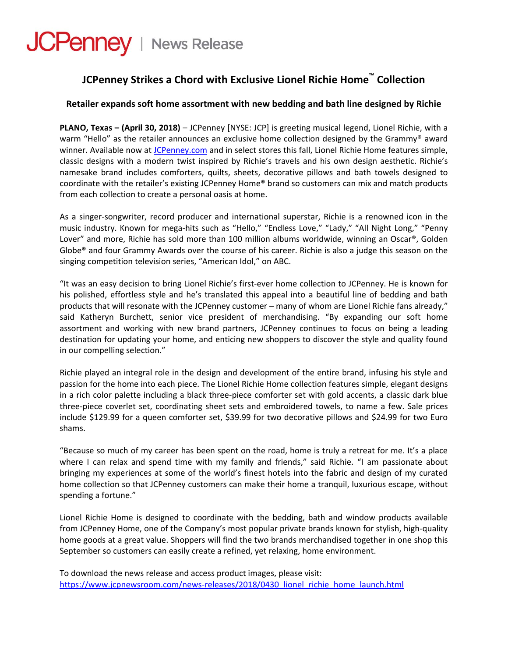# **JCPenney** | News Release

# **JCPenney Strikes a Chord with Exclusive Lionel Richie Home™ Collection**

# **Retailer expands soft home assortment with new bedding and bath line designed by Richie**

**PLANO, Texas – (April 30, 2018)** – JCPenney [NYSE: JCP] is greeting musical legend, Lionel Richie, with a warm "Hello" as the retailer announces an exclusive home collection designed by the Grammy® award winner. Available now at [JCPenney.com](https://www.jcpenney.com/g/lionel-richie-collection/N-bwo3wDgopq8h?cm_re=CAT-ComfortersAndBedding-_-OZ-GT-1-_-D4-LionelRichieCollectionLaunch) and in select stores this fall, Lionel Richie Home features simple, classic designs with a modern twist inspired by Richie's travels and his own design aesthetic. Richie's namesake brand includes comforters, quilts, sheets, decorative pillows and bath towels designed to coordinate with the retailer's existing JCPenney Home® brand so customers can mix and match products from each collection to create a personal oasis at home.

As a singer‐songwriter, record producer and international superstar, Richie is a renowned icon in the music industry. Known for mega-hits such as "Hello," "Endless Love," "Lady," "All Night Long," "Penny Lover" and more, Richie has sold more than 100 million albums worldwide, winning an Oscar®, Golden Globe® and four Grammy Awards over the course of his career. Richie is also a judge this season on the singing competition television series, "American Idol," on ABC.

"It was an easy decision to bring Lionel Richie's first‐ever home collection to JCPenney. He is known for his polished, effortless style and he's translated this appeal into a beautiful line of bedding and bath products that will resonate with the JCPenney customer – many of whom are Lionel Richie fans already," said Katheryn Burchett, senior vice president of merchandising. "By expanding our soft home assortment and working with new brand partners, JCPenney continues to focus on being a leading destination for updating your home, and enticing new shoppers to discover the style and quality found in our compelling selection."

Richie played an integral role in the design and development of the entire brand, infusing his style and passion for the home into each piece. The Lionel Richie Home collection features simple, elegant designs in a rich color palette including a black three‐piece comforter set with gold accents, a classic dark blue three‐piece coverlet set, coordinating sheet sets and embroidered towels, to name a few. Sale prices include \$129.99 for a queen comforter set, \$39.99 for two decorative pillows and \$24.99 for two Euro shams.

"Because so much of my career has been spent on the road, home is truly a retreat for me. It's a place where I can relax and spend time with my family and friends," said Richie. "I am passionate about bringing my experiences at some of the world's finest hotels into the fabric and design of my curated home collection so that JCPenney customers can make their home a tranquil, luxurious escape, without spending a fortune."

Lionel Richie Home is designed to coordinate with the bedding, bath and window products available from JCPenney Home, one of the Company's most popular private brands known for stylish, high‐quality home goods at a great value. Shoppers will find the two brands merchandised together in one shop this September so customers can easily create a refined, yet relaxing, home environment.

To download the news release and access product images, please visit: https://www.jcpnewsroom.com/news-[releases/2018/0430\\_lionel\\_richie\\_home\\_launch.html](https://www.jcpnewsroom.com/news-releases/2018/0430_lionel_richie_home_launch.html)